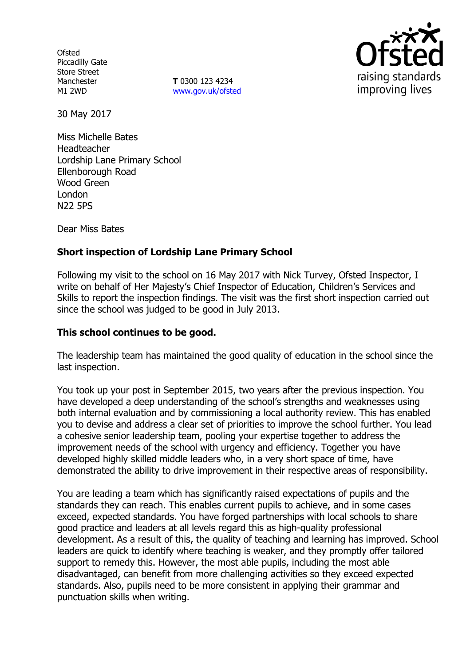**Ofsted** Piccadilly Gate Store Street Manchester M1 2WD

**T** 0300 123 4234 www.gov.uk/ofsted



30 May 2017

Miss Michelle Bates Headteacher Lordship Lane Primary School Ellenborough Road Wood Green London N22 5PS

Dear Miss Bates

# **Short inspection of Lordship Lane Primary School**

Following my visit to the school on 16 May 2017 with Nick Turvey, Ofsted Inspector, I write on behalf of Her Majesty's Chief Inspector of Education, Children's Services and Skills to report the inspection findings. The visit was the first short inspection carried out since the school was judged to be good in July 2013.

### **This school continues to be good.**

The leadership team has maintained the good quality of education in the school since the last inspection.

You took up your post in September 2015, two years after the previous inspection. You have developed a deep understanding of the school's strengths and weaknesses using both internal evaluation and by commissioning a local authority review. This has enabled you to devise and address a clear set of priorities to improve the school further. You lead a cohesive senior leadership team, pooling your expertise together to address the improvement needs of the school with urgency and efficiency. Together you have developed highly skilled middle leaders who, in a very short space of time, have demonstrated the ability to drive improvement in their respective areas of responsibility.

You are leading a team which has significantly raised expectations of pupils and the standards they can reach. This enables current pupils to achieve, and in some cases exceed, expected standards. You have forged partnerships with local schools to share good practice and leaders at all levels regard this as high-quality professional development. As a result of this, the quality of teaching and learning has improved. School leaders are quick to identify where teaching is weaker, and they promptly offer tailored support to remedy this. However, the most able pupils, including the most able disadvantaged, can benefit from more challenging activities so they exceed expected standards. Also, pupils need to be more consistent in applying their grammar and punctuation skills when writing.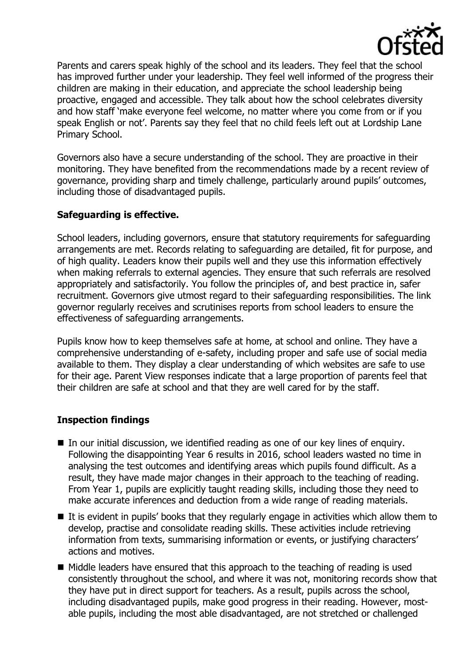

Parents and carers speak highly of the school and its leaders. They feel that the school has improved further under your leadership. They feel well informed of the progress their children are making in their education, and appreciate the school leadership being proactive, engaged and accessible. They talk about how the school celebrates diversity and how staff 'make everyone feel welcome, no matter where you come from or if you speak English or not'. Parents say they feel that no child feels left out at Lordship Lane Primary School.

Governors also have a secure understanding of the school. They are proactive in their monitoring. They have benefited from the recommendations made by a recent review of governance, providing sharp and timely challenge, particularly around pupils' outcomes, including those of disadvantaged pupils.

# **Safeguarding is effective.**

School leaders, including governors, ensure that statutory requirements for safeguarding arrangements are met. Records relating to safeguarding are detailed, fit for purpose, and of high quality. Leaders know their pupils well and they use this information effectively when making referrals to external agencies. They ensure that such referrals are resolved appropriately and satisfactorily. You follow the principles of, and best practice in, safer recruitment. Governors give utmost regard to their safeguarding responsibilities. The link governor regularly receives and scrutinises reports from school leaders to ensure the effectiveness of safeguarding arrangements.

Pupils know how to keep themselves safe at home, at school and online. They have a comprehensive understanding of e-safety, including proper and safe use of social media available to them. They display a clear understanding of which websites are safe to use for their age. Parent View responses indicate that a large proportion of parents feel that their children are safe at school and that they are well cared for by the staff.

## **Inspection findings**

- In our initial discussion, we identified reading as one of our key lines of enquiry. Following the disappointing Year 6 results in 2016, school leaders wasted no time in analysing the test outcomes and identifying areas which pupils found difficult. As a result, they have made major changes in their approach to the teaching of reading. From Year 1, pupils are explicitly taught reading skills, including those they need to make accurate inferences and deduction from a wide range of reading materials.
- $\blacksquare$  It is evident in pupils' books that they regularly engage in activities which allow them to develop, practise and consolidate reading skills. These activities include retrieving information from texts, summarising information or events, or justifying characters' actions and motives.
- $\blacksquare$  Middle leaders have ensured that this approach to the teaching of reading is used consistently throughout the school, and where it was not, monitoring records show that they have put in direct support for teachers. As a result, pupils across the school, including disadvantaged pupils, make good progress in their reading. However, mostable pupils, including the most able disadvantaged, are not stretched or challenged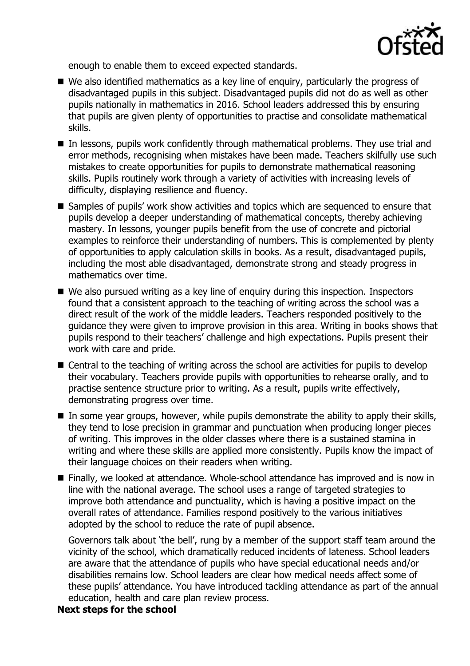

enough to enable them to exceed expected standards.

- We also identified mathematics as a key line of enguiry, particularly the progress of disadvantaged pupils in this subject. Disadvantaged pupils did not do as well as other pupils nationally in mathematics in 2016. School leaders addressed this by ensuring that pupils are given plenty of opportunities to practise and consolidate mathematical skills.
- In lessons, pupils work confidently through mathematical problems. They use trial and error methods, recognising when mistakes have been made. Teachers skilfully use such mistakes to create opportunities for pupils to demonstrate mathematical reasoning skills. Pupils routinely work through a variety of activities with increasing levels of difficulty, displaying resilience and fluency.
- Samples of pupils' work show activities and topics which are sequenced to ensure that pupils develop a deeper understanding of mathematical concepts, thereby achieving mastery. In lessons, younger pupils benefit from the use of concrete and pictorial examples to reinforce their understanding of numbers. This is complemented by plenty of opportunities to apply calculation skills in books. As a result, disadvantaged pupils, including the most able disadvantaged, demonstrate strong and steady progress in mathematics over time.
- We also pursued writing as a key line of enquiry during this inspection. Inspectors found that a consistent approach to the teaching of writing across the school was a direct result of the work of the middle leaders. Teachers responded positively to the guidance they were given to improve provision in this area. Writing in books shows that pupils respond to their teachers' challenge and high expectations. Pupils present their work with care and pride.
- Central to the teaching of writing across the school are activities for pupils to develop their vocabulary. Teachers provide pupils with opportunities to rehearse orally, and to practise sentence structure prior to writing. As a result, pupils write effectively, demonstrating progress over time.
- In some year groups, however, while pupils demonstrate the ability to apply their skills, they tend to lose precision in grammar and punctuation when producing longer pieces of writing. This improves in the older classes where there is a sustained stamina in writing and where these skills are applied more consistently. Pupils know the impact of their language choices on their readers when writing.
- Finally, we looked at attendance. Whole-school attendance has improved and is now in line with the national average. The school uses a range of targeted strategies to improve both attendance and punctuality, which is having a positive impact on the overall rates of attendance. Families respond positively to the various initiatives adopted by the school to reduce the rate of pupil absence.

Governors talk about 'the bell', rung by a member of the support staff team around the vicinity of the school, which dramatically reduced incidents of lateness. School leaders are aware that the attendance of pupils who have special educational needs and/or disabilities remains low. School leaders are clear how medical needs affect some of these pupils' attendance. You have introduced tackling attendance as part of the annual education, health and care plan review process.

# **Next steps for the school**